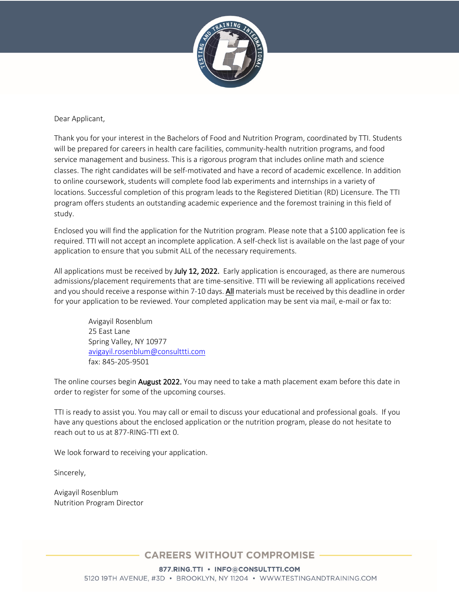

#### Dear Applicant,

Thank you for your interest in the Bachelors of Food and Nutrition Program, coordinated by TTI. Students will be prepared for careers in health care facilities, community-health nutrition programs, and food service management and business. This is a rigorous program that includes online math and science classes. The right candidates will be self-motivated and have a record of academic excellence. In addition to online coursework, students will complete food lab experiments and internships in a variety of locations. Successful completion of this program leads to the Registered Dietitian (RD) Licensure. The TTI program offers students an outstanding academic experience and the foremost training in this field of study.

Enclosed you will find the application for the Nutrition program. Please note that a \$100 application fee is required. TTI will not accept an incomplete application. A self-check list is available on the last page of your application to ensure that you submit ALL of the necessary requirements.

All applications must be received by July 12, 2022. Early application is encouraged, as there are numerous admissions/placement requirements that are time-sensitive. TTI will be reviewing all applications received and you should receive a response within 7-10 days. All materials must be received by this deadline in order for your application to be reviewed. Your completed application may be sent via mail, e-mail or fax to:

Avigayil Rosenblum 25 East Lane Spring Valley, NY 10977 avigayil.rosenblum@consulttti.com fax: 845-205-9501

The online courses begin **August 2022.** You may need to take a math placement exam before this date in order to register for some of the upcoming courses.

TTI is ready to assist you. You may call or email to discuss your educational and professional goals. If you have any questions about the enclosed application or the nutrition program, please do not hesitate to reach out to us at 877-RING-TTI ext 0.

We look forward to receiving your application.

Sincerely,

Avigayil Rosenblum Nutrition Program Director

**CAREERS WITHOUT COMPROMISE** 

877.RING.TTI • INFO@CONSULTTTI.COM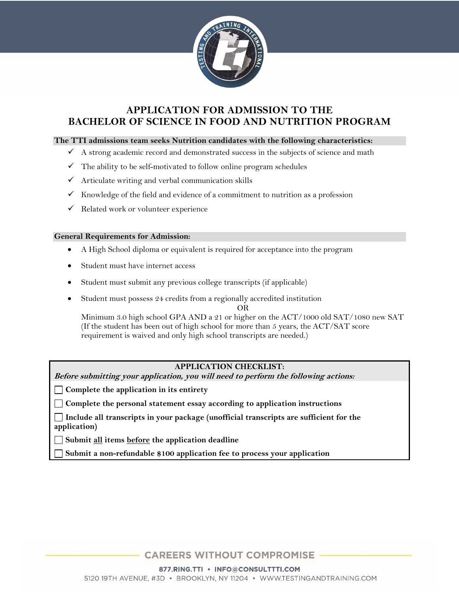

# **APPLICATION FOR ADMISSION TO THE BACHELOR OF SCIENCE IN FOOD AND NUTRITION PROGRAM**

#### **The TTI admissions team seeks Nutrition candidates with the following characteristics:**

- $\checkmark$  A strong academic record and demonstrated success in the subjects of science and math
- $\checkmark$  The ability to be self-motivated to follow online program schedules
- $\checkmark$  Articulate writing and verbal communication skills
- Knowledge of the field and evidence of a commitment to nutrition as a profession
- $\checkmark$  Related work or volunteer experience

#### **General Requirements for Admission:**

- A High School diploma or equivalent is required for acceptance into the program
- Student must have internet access
- Student must submit any previous college transcripts (if applicable)
- Student must possess 24 credits from a regionally accredited institution

OR

Minimum 3.0 high school GPA AND a 21 or higher on the ACT/1000 old SAT/1080 new SAT (If the student has been out of high school for more than 5 years, the  $ACT/SAT$  score requirement is waived and only high school transcripts are needed.)

### **APPLICATION CHECKLIST:**

**Before submitting your application, you will need to perform the following actions:**

**Complete the application in its entirety**

**Complete the personal statement essay according to application instructions**

**Include all transcripts in your package (unofficial transcripts are sufficient for the application)**

**Submit all items before the application deadline**

**Submit a non-refundable \$100 application fee to process your application**

**CAREERS WITHOUT COMPROMISE** 

877.RING.TTI • INFO@CONSULTTTI.COM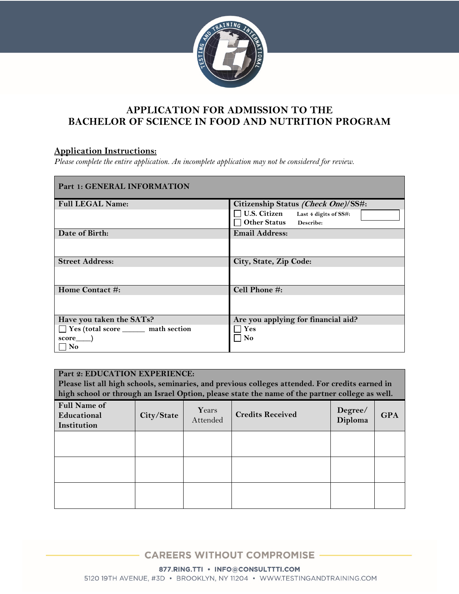

# **APPLICATION FOR ADMISSION TO THE BACHELOR OF SCIENCE IN FOOD AND NUTRITION PROGRAM**

## **Application Instructions:**

*Please complete the entire application. An incomplete application may not be considered for review.* 

| Part 1: GENERAL INFORMATION                    |                                                                     |  |  |
|------------------------------------------------|---------------------------------------------------------------------|--|--|
| <b>Full LEGAL Name:</b>                        | Citizenship Status (Check One)/SS#:                                 |  |  |
|                                                | U.S. Citizen Last 4 digits of SS#:<br><b>Other Status</b> Describe: |  |  |
| Date of Birth:                                 | <b>Email Address:</b>                                               |  |  |
|                                                |                                                                     |  |  |
| <b>Street Address:</b>                         | City, State, Zip Code:                                              |  |  |
|                                                |                                                                     |  |  |
| Home Contact #:                                | Cell Phone #:                                                       |  |  |
|                                                |                                                                     |  |  |
| Have you taken the SATs?                       | Are you applying for financial aid?                                 |  |  |
| □ Yes (total score <u>section</u> math section | $\mathbf{Yes}$                                                      |  |  |
| score )<br>No                                  | No                                                                  |  |  |

| Part 2: EDUCATION EXPERIENCE:<br>Please list all high schools, seminaries, and previous colleges attended. For credits earned in<br>high school or through an Israel Option, please state the name of the partner college as well. |            |                   |                         |                    |            |  |
|------------------------------------------------------------------------------------------------------------------------------------------------------------------------------------------------------------------------------------|------------|-------------------|-------------------------|--------------------|------------|--|
| <b>Full Name of</b><br>Educational<br>Institution                                                                                                                                                                                  | City/State | Years<br>Attended | <b>Credits Received</b> | Degree/<br>Diploma | <b>GPA</b> |  |
|                                                                                                                                                                                                                                    |            |                   |                         |                    |            |  |
|                                                                                                                                                                                                                                    |            |                   |                         |                    |            |  |
|                                                                                                                                                                                                                                    |            |                   |                         |                    |            |  |

**CAREERS WITHOUT COMPROMISE** 

877.RING.TTI · INFO@CONSULTTTI.COM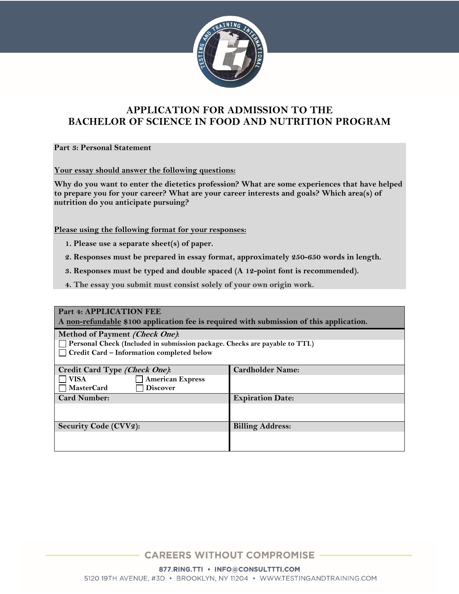

# **APPLICATION FOR ADMISSION TO THE BACHELOR OF SCIENCE IN FOOD AND NUTRITION PROGRAM**

**Part 3: Personal Statement**

**Your essay should answer the following questions:**

**Why do you want to enter the dietetics profession? What are some experiences that have helped to prepare you for your career? What are your career interests and goals? Which area(s) of nutrition do you anticipate pursuing?**

**Please using the following format for your responses:**

- **1. Please use a separate sheet(s) of paper.**
- **2. Responses must be prepared in essay format, approximately 250-650 words in length.**
- **3. Responses must be typed and double spaced (A 12-point font is recommended).**
- **4. The essay you submit must consist solely of your own origin work.**

| Part 4: APPLICATION FEE                                                                 |                         |  |  |
|-----------------------------------------------------------------------------------------|-------------------------|--|--|
| A non-refundable \$100 application fee is required with submission of this application. |                         |  |  |
| Method of Payment (Check One):                                                          |                         |  |  |
| Personal Check (Included in submission package. Checks are payable to TTI.)             |                         |  |  |
| Credit Card - Information completed below                                               |                         |  |  |
|                                                                                         |                         |  |  |
| Credit Card Type (Check One):                                                           | <b>Cardholder Name:</b> |  |  |
| <b>VISA</b><br><b>American Express</b>                                                  |                         |  |  |
| <b>MasterCard</b><br><b>Discover</b>                                                    |                         |  |  |
| <b>Card Number:</b>                                                                     | <b>Expiration Date:</b> |  |  |
|                                                                                         |                         |  |  |
|                                                                                         |                         |  |  |
| <b>Security Code (CVV2):</b>                                                            | <b>Billing Address:</b> |  |  |
|                                                                                         |                         |  |  |
|                                                                                         |                         |  |  |

**CAREERS WITHOUT COMPROMISE** 

877.RING.TTI · INFO@CONSULTTTI.COM